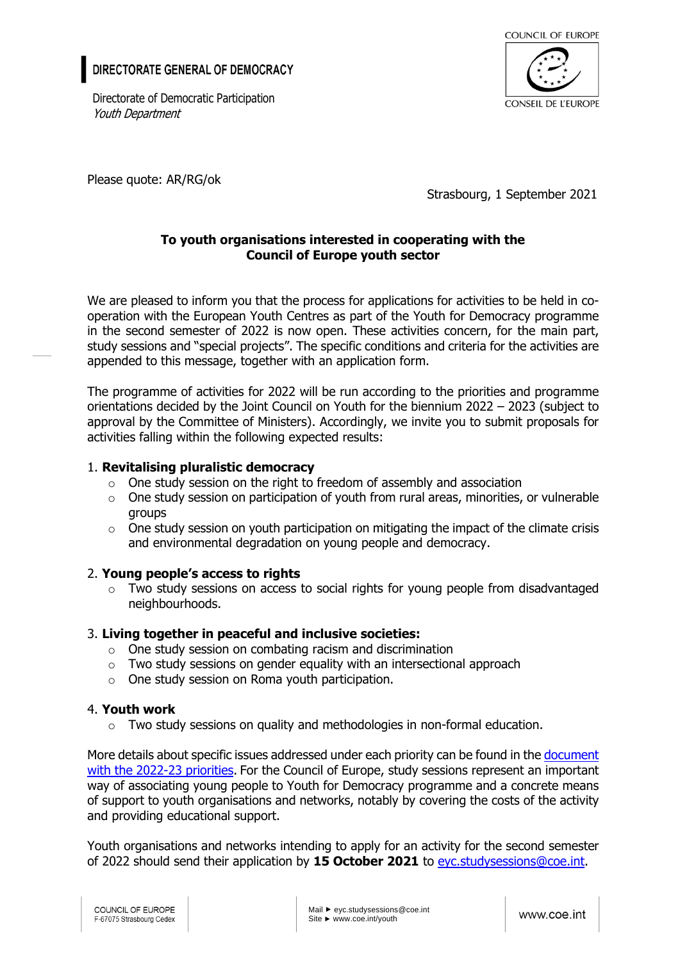# DIRECTORATE GENERAL OF DEMOCRACY

Directorate of Democratic Participation Youth Department



Please quote: AR/RG/ok

Strasbourg, 1 September 2021

### **To youth organisations interested in cooperating with the Council of Europe youth sector**

We are pleased to inform you that the process for applications for activities to be held in cooperation with the European Youth Centres as part of the Youth for Democracy programme in the second semester of 2022 is now open. These activities concern, for the main part, study sessions and "special projects". The specific conditions and criteria for the activities are appended to this message, together with an application form.

The programme of activities for 2022 will be run according to the priorities and programme orientations decided by the Joint Council on Youth for the biennium 2022 – 2023 (subject to approval by the Committee of Ministers). Accordingly, we invite you to submit proposals for activities falling within the following expected results:

### 1. **Revitalising pluralistic democracy**

- $\circ$  One study session on the right to freedom of assembly and association
- $\circ$  One study session on participation of youth from rural areas, minorities, or vulnerable groups
- $\circ$  One study session on youth participation on mitigating the impact of the climate crisis and environmental degradation on young people and democracy.

## 2. **Young people's access to rights**

 $\circ$  Two study sessions on access to social rights for young people from disadvantaged neighbourhoods.

## 3. **Living together in peaceful and inclusive societies:**

- o One study session on combating racism and discrimination
- $\circ$  Two study sessions on gender equality with an intersectional approach
- o One study session on Roma youth participation.

#### 4. **Youth work**

 $\circ$  Two study sessions on quality and methodologies in non-formal education.

More details about specific issues addressed under each priority can be found in the document [with the 2022-23 priorities.](https://rm.coe.int/draft-priorities-2022-23-en-2755-1155-3538-v-1/1680a08b0d) For the Council of Europe, study sessions represent an important way of associating young people to Youth for Democracy programme and a concrete means of support to youth organisations and networks, notably by covering the costs of the activity and providing educational support.

Youth organisations and networks intending to apply for an activity for the second semester of 2022 should send their application by **15 October 2021** to [eyc.studysessions@coe.int.](mailto:eyc.studysessions@coe.int)